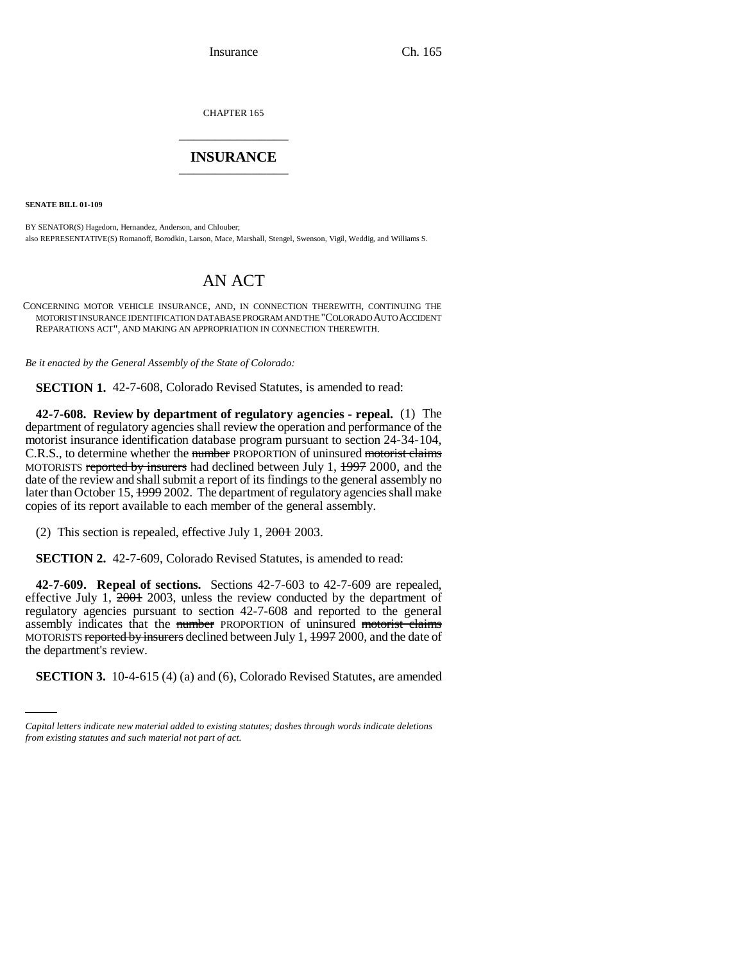Insurance Ch. 165

CHAPTER 165 \_\_\_\_\_\_\_\_\_\_\_\_\_\_\_

## **INSURANCE** \_\_\_\_\_\_\_\_\_\_\_\_\_\_\_

**SENATE BILL 01-109**

BY SENATOR(S) Hagedorn, Hernandez, Anderson, and Chlouber; also REPRESENTATIVE(S) Romanoff, Borodkin, Larson, Mace, Marshall, Stengel, Swenson, Vigil, Weddig, and Williams S.

## AN ACT

CONCERNING MOTOR VEHICLE INSURANCE, AND, IN CONNECTION THEREWITH, CONTINUING THE MOTORIST INSURANCE IDENTIFICATION DATABASE PROGRAM AND THE "COLORADO AUTO ACCIDENT REPARATIONS ACT", AND MAKING AN APPROPRIATION IN CONNECTION THEREWITH.

*Be it enacted by the General Assembly of the State of Colorado:*

**SECTION 1.** 42-7-608, Colorado Revised Statutes, is amended to read:

**42-7-608. Review by department of regulatory agencies - repeal.** (1) The department of regulatory agencies shall review the operation and performance of the motorist insurance identification database program pursuant to section 24-34-104, C.R.S., to determine whether the number PROPORTION of uninsured motorist claims MOTORISTS reported by insurers had declined between July 1, 1997 2000, and the date of the review and shall submit a report of its findings to the general assembly no later than October 15, 1999 2002. The department of regulatory agencies shall make copies of its report available to each member of the general assembly.

(2) This section is repealed, effective July 1, 2001 2003.

**SECTION 2.** 42-7-609, Colorado Revised Statutes, is amended to read:

the department's review. **42-7-609. Repeal of sections.** Sections 42-7-603 to 42-7-609 are repealed, effective July 1,  $2001$  2003, unless the review conducted by the department of regulatory agencies pursuant to section 42-7-608 and reported to the general assembly indicates that the number PROPORTION of uninsured motorist claims MOTORISTS reported by insurers declined between July 1, 1997 2000, and the date of

**SECTION 3.** 10-4-615 (4) (a) and (6), Colorado Revised Statutes, are amended

*Capital letters indicate new material added to existing statutes; dashes through words indicate deletions from existing statutes and such material not part of act.*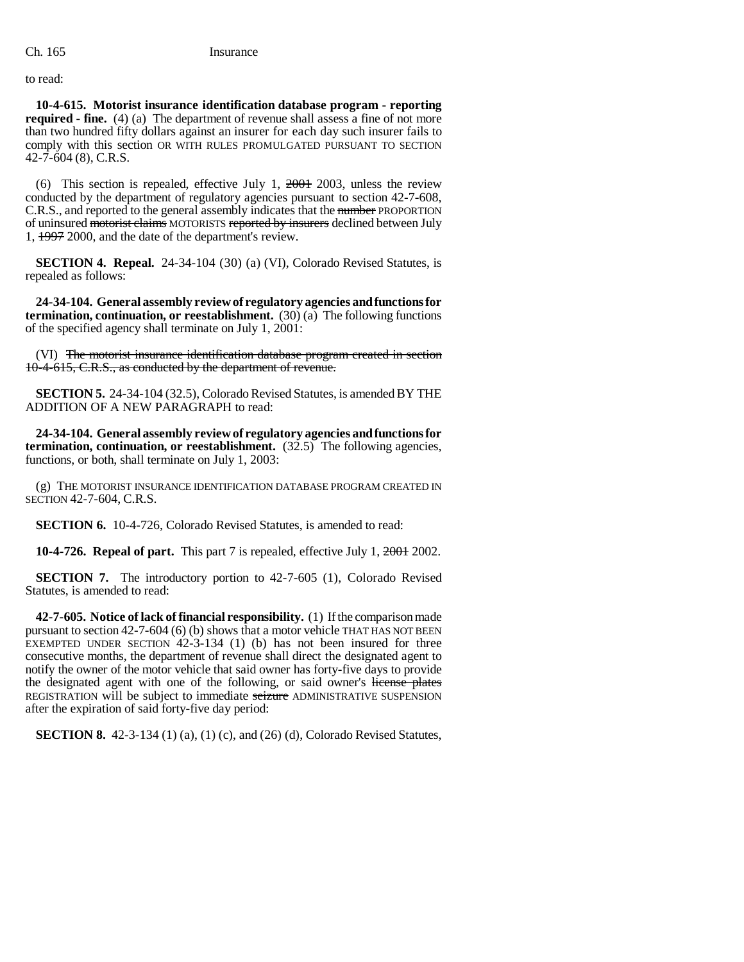to read:

**10-4-615. Motorist insurance identification database program - reporting required - fine.** (4) (a) The department of revenue shall assess a fine of not more than two hundred fifty dollars against an insurer for each day such insurer fails to comply with this section OR WITH RULES PROMULGATED PURSUANT TO SECTION 42-7-604 (8), C.R.S.

(6) This section is repealed, effective July 1,  $2001$  2003, unless the review conducted by the department of regulatory agencies pursuant to section 42-7-608, C.R.S., and reported to the general assembly indicates that the number PROPORTION of uninsured motorist claims MOTORISTS reported by insurers declined between July 1, 1997 2000, and the date of the department's review.

**SECTION 4. Repeal.** 24-34-104 (30) (a) (VI), Colorado Revised Statutes, is repealed as follows:

**24-34-104. General assembly review of regulatory agencies and functions for termination, continuation, or reestablishment.** (30) (a) The following functions of the specified agency shall terminate on July 1, 2001:

(VI) The motorist insurance identification database program created in section 10-4-615, C.R.S., as conducted by the department of revenue.

**SECTION 5.** 24-34-104 (32.5), Colorado Revised Statutes, is amended BY THE ADDITION OF A NEW PARAGRAPH to read:

**24-34-104. General assembly review of regulatory agencies and functions for termination, continuation, or reestablishment.** (32.5) The following agencies, functions, or both, shall terminate on July 1, 2003:

(g) THE MOTORIST INSURANCE IDENTIFICATION DATABASE PROGRAM CREATED IN SECTION 42-7-604, C.R.S.

**SECTION 6.** 10-4-726, Colorado Revised Statutes, is amended to read:

**10-4-726. Repeal of part.** This part 7 is repealed, effective July 1, 2001 2002.

**SECTION 7.** The introductory portion to 42-7-605 (1), Colorado Revised Statutes, is amended to read:

**42-7-605. Notice of lack of financial responsibility.** (1) If the comparison made pursuant to section 42-7-604 (6) (b) shows that a motor vehicle THAT HAS NOT BEEN EXEMPTED UNDER SECTION  $42-3-134$  (1) (b) has not been insured for three consecutive months, the department of revenue shall direct the designated agent to notify the owner of the motor vehicle that said owner has forty-five days to provide the designated agent with one of the following, or said owner's license plates REGISTRATION will be subject to immediate seizure ADMINISTRATIVE SUSPENSION after the expiration of said forty-five day period:

**SECTION 8.** 42-3-134 (1) (a), (1) (c), and (26) (d), Colorado Revised Statutes,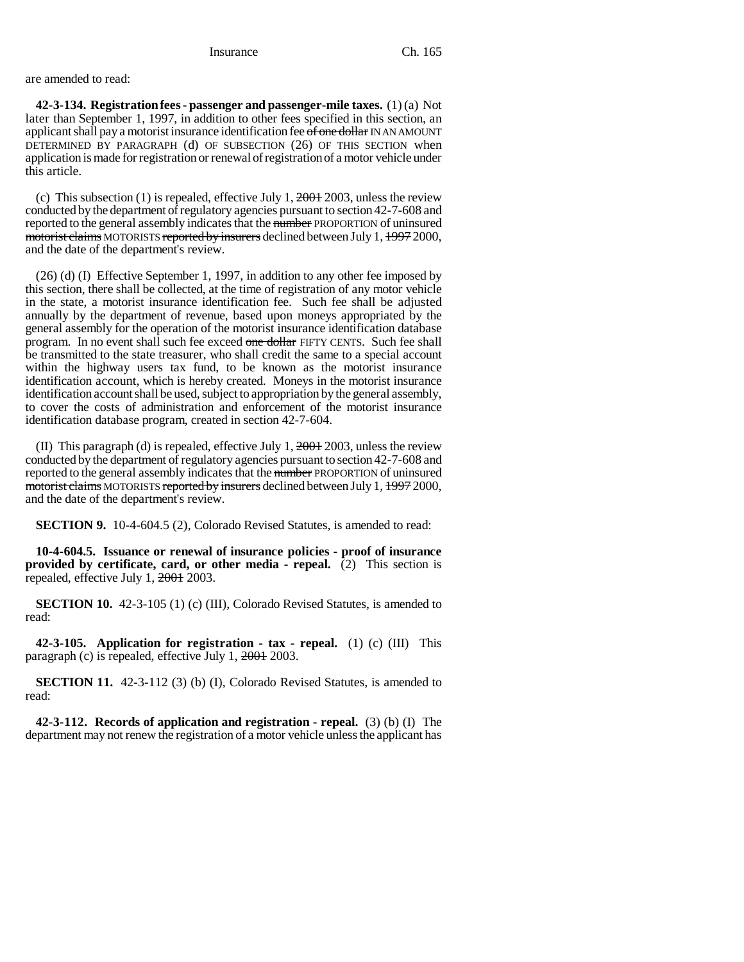are amended to read:

**42-3-134. Registration fees - passenger and passenger-mile taxes.** (1) (a) Not later than September 1, 1997, in addition to other fees specified in this section, an applicant shall pay a motorist insurance identification fee of one dollar IN AN AMOUNT DETERMINED BY PARAGRAPH (d) OF SUBSECTION (26) OF THIS SECTION when application is made for registration or renewal of registration of a motor vehicle under this article.

(c) This subsection (1) is repealed, effective July 1,  $2001$  2003, unless the review conducted by the department of regulatory agencies pursuant to section 42-7-608 and reported to the general assembly indicates that the number PROPORTION of uninsured motorist claims MOTORISTS reported by insurers declined between July 1, 1997 2000, and the date of the department's review.

(26) (d) (I) Effective September 1, 1997, in addition to any other fee imposed by this section, there shall be collected, at the time of registration of any motor vehicle in the state, a motorist insurance identification fee. Such fee shall be adjusted annually by the department of revenue, based upon moneys appropriated by the general assembly for the operation of the motorist insurance identification database program. In no event shall such fee exceed one dollar FIFTY CENTS. Such fee shall be transmitted to the state treasurer, who shall credit the same to a special account within the highway users tax fund, to be known as the motorist insurance identification account, which is hereby created. Moneys in the motorist insurance identification account shall be used, subject to appropriation by the general assembly, to cover the costs of administration and enforcement of the motorist insurance identification database program, created in section 42-7-604.

(II) This paragraph (d) is repealed, effective July 1,  $2001$  2003, unless the review conducted by the department of regulatory agencies pursuant to section 42-7-608 and reported to the general assembly indicates that the number PROPORTION of uninsured motorist claims MOTORISTS reported by insurers declined between July 1, 1997 2000, and the date of the department's review.

**SECTION 9.** 10-4-604.5 (2), Colorado Revised Statutes, is amended to read:

**10-4-604.5. Issuance or renewal of insurance policies - proof of insurance provided by certificate, card, or other media - repeal.** (2) This section is repealed, effective July 1, 2001 2003.

**SECTION 10.** 42-3-105 (1) (c) (III), Colorado Revised Statutes, is amended to read:

**42-3-105. Application for registration - tax - repeal.** (1) (c) (III) This paragraph (c) is repealed, effective July 1, 2001 2003.

**SECTION 11.** 42-3-112 (3) (b) (I), Colorado Revised Statutes, is amended to read:

**42-3-112. Records of application and registration - repeal.** (3) (b) (I) The department may not renew the registration of a motor vehicle unless the applicant has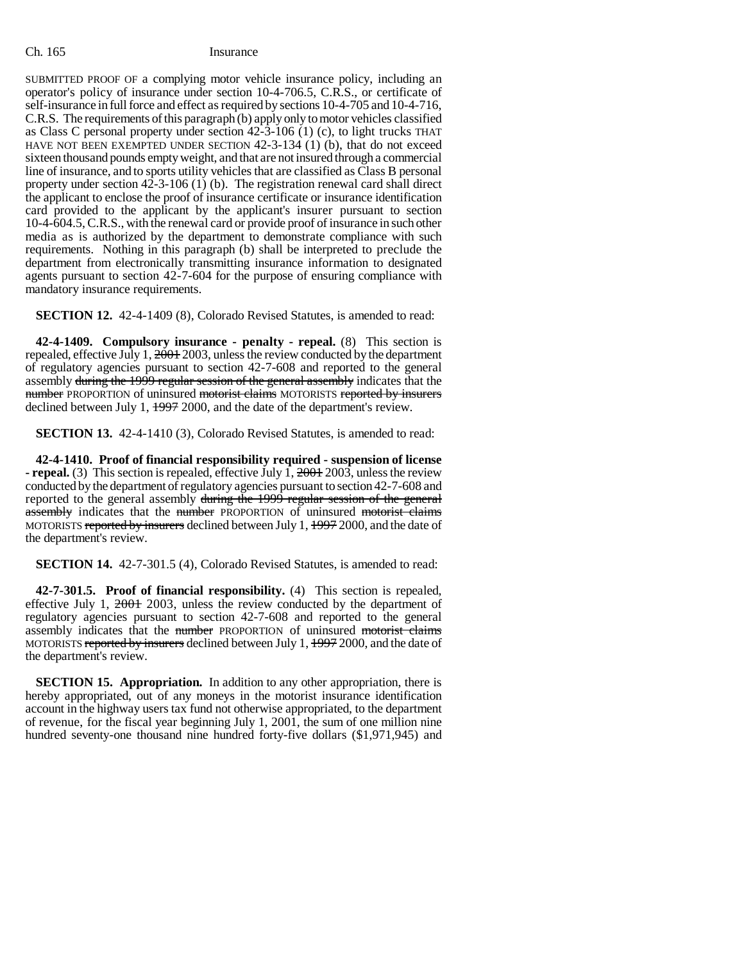## Ch. 165 Insurance

SUBMITTED PROOF OF a complying motor vehicle insurance policy, including an operator's policy of insurance under section 10-4-706.5, C.R.S., or certificate of self-insurance in full force and effect as required by sections 10-4-705 and 10-4-716, C.R.S. The requirements of this paragraph (b) apply only to motor vehicles classified as Class C personal property under section 42-3-106 (1) (c), to light trucks THAT HAVE NOT BEEN EXEMPTED UNDER SECTION 42-3-134 (1) (b), that do not exceed sixteen thousand pounds empty weight, and that are not insured through a commercial line of insurance, and to sports utility vehicles that are classified as Class B personal property under section  $42-3-106$  (1) (b). The registration renewal card shall direct the applicant to enclose the proof of insurance certificate or insurance identification card provided to the applicant by the applicant's insurer pursuant to section 10-4-604.5, C.R.S., with the renewal card or provide proof of insurance in such other media as is authorized by the department to demonstrate compliance with such requirements. Nothing in this paragraph (b) shall be interpreted to preclude the department from electronically transmitting insurance information to designated agents pursuant to section 42-7-604 for the purpose of ensuring compliance with mandatory insurance requirements.

**SECTION 12.** 42-4-1409 (8), Colorado Revised Statutes, is amended to read:

**42-4-1409. Compulsory insurance - penalty - repeal.** (8) This section is repealed, effective July 1, 2001 2003, unless the review conducted by the department of regulatory agencies pursuant to section 42-7-608 and reported to the general assembly during the 1999 regular session of the general assembly indicates that the number PROPORTION of uninsured motorist claims MOTORISTS reported by insurers declined between July 1,  $\frac{1997}{2000}$ , and the date of the department's review.

**SECTION 13.** 42-4-1410 (3), Colorado Revised Statutes, is amended to read:

**42-4-1410. Proof of financial responsibility required - suspension of license - repeal.** (3) This section is repealed, effective July 1, 2001 2003, unless the review conducted by the department of regulatory agencies pursuant to section 42-7-608 and reported to the general assembly during the 1999 regular session of the general assembly indicates that the number PROPORTION of uninsured motorist claims MOTORISTS reported by insurers declined between July 1, 1997 2000, and the date of the department's review.

**SECTION 14.** 42-7-301.5 (4), Colorado Revised Statutes, is amended to read:

**42-7-301.5. Proof of financial responsibility.** (4) This section is repealed, effective July 1, 2001 2003, unless the review conducted by the department of regulatory agencies pursuant to section 42-7-608 and reported to the general assembly indicates that the number PROPORTION of uninsured motorist claims MOTORISTS reported by insurers declined between July 1, 1997 2000, and the date of the department's review.

**SECTION 15. Appropriation.** In addition to any other appropriation, there is hereby appropriated, out of any moneys in the motorist insurance identification account in the highway users tax fund not otherwise appropriated, to the department of revenue, for the fiscal year beginning July 1, 2001, the sum of one million nine hundred seventy-one thousand nine hundred forty-five dollars (\$1,971,945) and